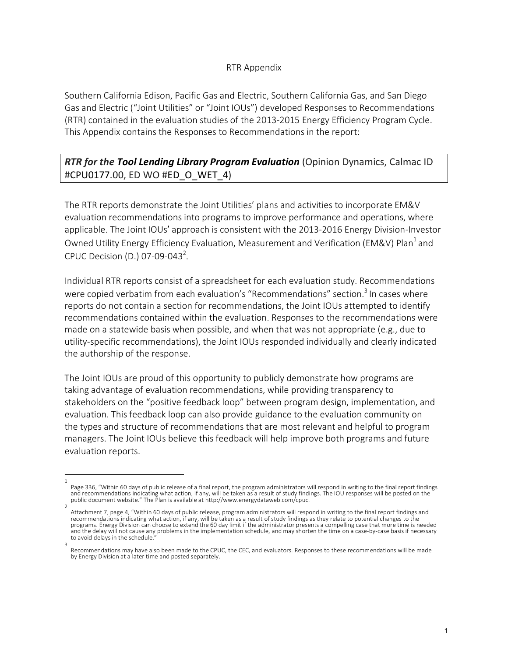## RTR Appendix

Southern California Edison, Pacific Gas and Electric, Southern California Gas, and San Diego Gas and Electric ("Joint Utilities" or "Joint IOUs") developed Responses to Recommendations (RTR) contained in the evaluation studies of the 2013-2015 Energy Efficiency Program Cycle. This Appendix contains the Responses to Recommendations in the report:

## *RTR for the Tool Lending Library Program Evaluation* (Opinion Dynamics, Calmac ID #CPU0177.00, ED WO #ED\_O\_WET\_4)

The RTR reports demonstrate the Joint Utilities' plans and activities to incorporate EM&V evaluation recommendations into programs to improve performance and operations, where applicable. The Joint IOUs' approach is consistent with the 2013-2016 Energy Division-Investor Owned Utility Energy Efficiency Evaluation, Measurement and Verification (EM&V) Plan<sup>1</sup> and CPUC Decision (D.) 07-09-043<sup>2</sup>.

Individual RTR reports consist of a spreadsheet for each evaluation study. Recommendations were copied verbatim from each evaluation's "Recommendations" section.<sup>3</sup> In cases where reports do not contain a section for recommendations, the Joint IOUs attempted to identify recommendations contained within the evaluation. Responses to the recommendations were made on a statewide basis when possible, and when that was not appropriate (e.g., due to utility-specific recommendations), the Joint IOUs responded individually and clearly indicated the authorship of the response.

The Joint IOUs are proud of this opportunity to publicly demonstrate how programs are taking advantage of evaluation recommendations, while providing transparency to stakeholders on the "positive feedback loop" between program design, implementation, and evaluation. This feedback loop can also provide guidance to the evaluation community on the types and structure of recommendations that are most relevant and helpful to program managers. The Joint IOUs believe this feedback will help improve both programs and future evaluation reports.

<sup>1</sup>  Page 336, "Within 60 days of public release of a final report, the program administrators will respond in writing to the final report findings and recommendations indicating what action, if any, will be taken as a result of study findings. The IOU responses will be posted on the public document website." The Plan is available at http://www.energydataweb.com/cpuc. 2

Attachment 7, page 4, "Within 60 days of public release, program administrators will respond in writing to the final report findings and recommendations indicating what action, if any, will be taken as a result of study findings as they relate to potential changes to the programs. Energy Division can choose to extend the 60 day limit if the administrator presents a compelling case that more time is needed and the delay will not cause any problems in the implementation schedule, and may shorten the time on a case-by-case basis if necessary to avoid delays in the schedule. 3

Recommendations may have also been made to the CPUC, the CEC, and evaluators. Responses to these recommendations will be made by Energy Division at a later time and posted separately.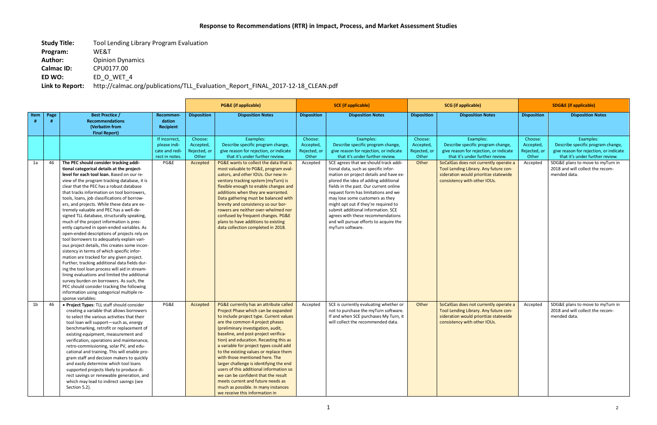| <b>Study Title:</b> | Tool Lending Library Program Evaluation                                         |
|---------------------|---------------------------------------------------------------------------------|
| Program:            | WE&T                                                                            |
| <b>Author:</b>      | <b>Opinion Dynamics</b>                                                         |
| <b>Calmac ID:</b>   | CPU0177.00                                                                      |
| ED WO:              | ED O WET 4                                                                      |
| Link to Report:     | http://calmac.org/publications/TLL Evaluation Report FINAL 2017-12-18 CLEAN.pdf |

|      |      |                                                                                                                                                                                                                                                                                                                                                                                                                                                                                                                                                                                                                                                                                                                                                                                                                                                                                                                                                                                                                                                                               | <b>PG&amp;E</b> (if applicable)                                           |                                                           | <b>SCE</b> (if applicable)                                                                                                                                                                                                                                                                                                                                                                                                                                                                                                                                                                                                                           |                                                           | <b>SCG</b> (if applicable)                                                                                                                                                                                                                                                                                                                                                                                                                                                                                                                                                                          |                                                        | <b>SDG&amp;E</b> (if applicable)                                                                                                                                                                                                                                                       |                                                           |                                                                                                                                                                                                                     |
|------|------|-------------------------------------------------------------------------------------------------------------------------------------------------------------------------------------------------------------------------------------------------------------------------------------------------------------------------------------------------------------------------------------------------------------------------------------------------------------------------------------------------------------------------------------------------------------------------------------------------------------------------------------------------------------------------------------------------------------------------------------------------------------------------------------------------------------------------------------------------------------------------------------------------------------------------------------------------------------------------------------------------------------------------------------------------------------------------------|---------------------------------------------------------------------------|-----------------------------------------------------------|------------------------------------------------------------------------------------------------------------------------------------------------------------------------------------------------------------------------------------------------------------------------------------------------------------------------------------------------------------------------------------------------------------------------------------------------------------------------------------------------------------------------------------------------------------------------------------------------------------------------------------------------------|-----------------------------------------------------------|-----------------------------------------------------------------------------------------------------------------------------------------------------------------------------------------------------------------------------------------------------------------------------------------------------------------------------------------------------------------------------------------------------------------------------------------------------------------------------------------------------------------------------------------------------------------------------------------------------|--------------------------------------------------------|----------------------------------------------------------------------------------------------------------------------------------------------------------------------------------------------------------------------------------------------------------------------------------------|-----------------------------------------------------------|---------------------------------------------------------------------------------------------------------------------------------------------------------------------------------------------------------------------|
| Item | Page | <b>Best Practice /</b><br><b>Recommendations</b><br>(Verbatim from                                                                                                                                                                                                                                                                                                                                                                                                                                                                                                                                                                                                                                                                                                                                                                                                                                                                                                                                                                                                            | Recommen-<br>dation<br><b>Recipient</b>                                   | <b>Disposition</b>                                        | <b>Disposition Notes</b>                                                                                                                                                                                                                                                                                                                                                                                                                                                                                                                                                                                                                             | <b>Disposition</b>                                        | <b>Disposition Notes</b>                                                                                                                                                                                                                                                                                                                                                                                                                                                                                                                                                                            | <b>Disposition</b>                                     | <b>Disposition Notes</b>                                                                                                                                                                                                                                                               | <b>Disposition</b>                                        | <b>Disposition Notes</b>                                                                                                                                                                                            |
| 1a   | 46   | <b>Final Report)</b><br>The PEC should consider tracking addi-<br>tional categorical details at the project-<br>level for each tool loan. Based on our re-<br>view of the program tracking database, it is<br>clear that the PEC has a robust database<br>that tracks information on tool borrowers,<br>tools, loans, job classifications of borrow-<br>ers, and projects. While these data are ex-<br>tremely valuable and PEC has a well-de-<br>signed TLL database, structurally speaking,<br>much of the project information is pres-<br>ently captured in open-ended variables. As<br>open-ended descriptions of projects rely on<br>tool borrowers to adequately explain vari-<br>ous project details, this creates some incon-<br>sistency in terms of which specific infor-<br>mation are tracked for any given project.<br>Further, tracking additional data fields dur-<br>ing the tool loan process will aid in stream-<br>lining evaluations and limited the additional<br>survey burden on borrowers. As such, the<br>PEC should consider tracking the following | If incorrect,<br>please indi-<br>cate and redi-<br>rect in notes.<br>PG&E | Choose:<br>Accepted,<br>Rejected, or<br>Other<br>Accepted | Examples:<br>Describe specific program change,<br>give reason for rejection, or indicate<br>that it's under further review.<br>PG&E wants to collect the data that is<br>most valuable to PG&E, program eval-<br>uators, and other IOUs. Our new in-<br>ventory tracking system (myTurn) is<br>flexible enough to enable changes and<br>additions when they are warranted.<br>Data gathering must be balanced with<br>brevity and consistency so our bor-<br>rowers are neither over-whelmed nor<br>confused by frequent changes. PG&E<br>plans to have additions to existing<br>data collection completed in 2018.                                  | Choose:<br>Accepted,<br>Rejected, or<br>Other<br>Accepted | Examples:<br>Describe specific program change,<br>give reason for rejection, or indicate<br>that it's under further review.<br>SCE agrees that we should track addi-<br>tional data, such as specific infor-<br>mation on project details and have ex-<br>plored the idea of adding additional<br>fields in the past. Our current online<br>request form has limitations and we<br>may lose some customers as they<br>might opt out if they're required to<br>submit additional information. SCE<br>agrees with these recommendations<br>and will pursue efforts to acquire the<br>myTurn software. | Choose:<br>Accepted,<br>Rejected, or<br>Other<br>Other | Examples:<br>Describe specific program change,<br>give reason for rejection, or indicate<br>that it's under further review.<br>SoCalGas does not currently operate a<br>Tool Lending Library. Any future con-<br>sideration would prioritize statewide<br>consistency with other IOUs. | Choose:<br>Accepted,<br>Rejected, or<br>Other<br>Accepted | Examples:<br>Describe specific program change,<br>give reason for rejection, or indicate<br>that it's under further review.<br>SDG&E plans to move to myTurn in<br>2018 and will collect the recom-<br>mended data. |
| 1b   | 46   | information using categorical multiple re-<br>sponse variables:<br>• Project Types: TLL staff should consider<br>creating a variable that allows borrowers<br>to select the various activities that their<br>tool loan will support-such as, energy<br>benchmarking, retrofit or replacement of<br>existing equipment, measurement and<br>verification, operations and maintenance,<br>retro-commissioning, solar PV, and edu-<br>cational and training. This will enable pro-<br>gram staff and decision makers to quickly<br>and easily determine which tool loans<br>supported projects likely to produce di-<br>rect savings or renewable generation, and<br>which may lead to indirect savings (see<br>Section 5.2).                                                                                                                                                                                                                                                                                                                                                     | PG&E                                                                      | Accepted                                                  | PG&E currently has an attribute called<br>Project Phase which can be expanded<br>to include project type. Current values<br>are the common 4 project phases<br>(preliminary investigation, audit,<br>baseline, and post-project verifica-<br>tion) and education. Recasting this as<br>a variable for project types could add<br>to the existing values or replace them<br>with those mentioned here. The<br>larger challenge is identifying the end<br>users of this additional information so<br>we can be confident that the result<br>meets current and future needs as<br>much as possible. In many instances<br>we receive this information in | Accepted                                                  | SCE is currently evaluating whether or<br>not to purchase the myTurn software.<br>If and when SCE purchases My Turn, it<br>will collect the recommended data.                                                                                                                                                                                                                                                                                                                                                                                                                                       | Other                                                  | SoCalGas does not currently operate a<br>Tool Lending Library. Any future con-<br>sideration would prioritize statewide<br>consistency with other IOUs.                                                                                                                                | Accepted                                                  | SDG&E plans to move to myTurn in<br>2018 and will collect the recom-<br>mended data.                                                                                                                                |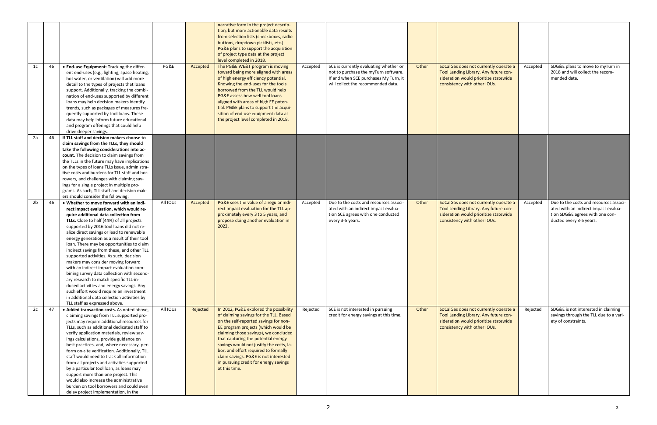| 1c             | 46  | • End-use Equipment: Tracking the differ-                                                                                                                                                                                                                                                                                                                                                                                                                                                                                                                                                                                                                                                                                                                                                              | PG&E     | Accepted | narrative form in the project descrip-<br>tion, but more actionable data results<br>from selection lists (checkboxes, radio<br>buttons, dropdown picklists, etc.).<br>PG&E plans to support the acquisition<br>of project type data at the project<br>level completed in 2018.<br>The PG&E WE&T program is moving                                                                                                                       | Accepted | SCE is currently evaluating whether or                                                                                                   | Other | SoCalGas does not currently operate a                                                                                                                   | Accepted | SDG&E plans to move to myTurn in                                                                                                             |
|----------------|-----|--------------------------------------------------------------------------------------------------------------------------------------------------------------------------------------------------------------------------------------------------------------------------------------------------------------------------------------------------------------------------------------------------------------------------------------------------------------------------------------------------------------------------------------------------------------------------------------------------------------------------------------------------------------------------------------------------------------------------------------------------------------------------------------------------------|----------|----------|-----------------------------------------------------------------------------------------------------------------------------------------------------------------------------------------------------------------------------------------------------------------------------------------------------------------------------------------------------------------------------------------------------------------------------------------|----------|------------------------------------------------------------------------------------------------------------------------------------------|-------|---------------------------------------------------------------------------------------------------------------------------------------------------------|----------|----------------------------------------------------------------------------------------------------------------------------------------------|
|                |     | ent end-uses (e.g., lighting, space heating,<br>hot water, or ventilation) will add more<br>detail to the types of projects that loans<br>support. Additionally, tracking the combi-<br>nation of end-uses supported by different<br>loans may help decision makers identify<br>trends, such as packages of measures fre-<br>quently supported by tool loans. These<br>data may help inform future educational<br>and program offerings that could help<br>drive deeper savings.                                                                                                                                                                                                                                                                                                                       |          |          | toward being more aligned with areas<br>of high energy efficiency potential.<br>Knowing the end-uses for the tools<br>borrowed from the TLL would help<br>PG&E assess how well tool loans<br>aligned with areas of high EE poten-<br>tial. PG&E plans to support the acqui-<br>sition of end-use equipment data at<br>the project level completed in 2018.                                                                              |          | not to purchase the myTurn software.<br>If and when SCE purchases My Turn, it<br>will collect the recommended data.                      |       | Tool Lending Library. Any future con-<br>sideration would prioritize statewide<br>consistency with other IOUs.                                          |          | 2018 and will collect the recom-<br>mended data.                                                                                             |
| 2a             | 46  | If TLL staff and decision makers choose to<br>claim savings from the TLLs, they should<br>take the following considerations into ac-<br>count. The decision to claim savings from<br>the TLLs in the future may have implications<br>on the types of loans TLLs issue, administra-<br>tive costs and burdens for TLL staff and bor-<br>rowers, and challenges with claiming sav-<br>ings for a single project in multiple pro-<br>grams. As such, TLL staff and decision mak-<br>ers should consider the following:                                                                                                                                                                                                                                                                                    |          |          |                                                                                                                                                                                                                                                                                                                                                                                                                                         |          |                                                                                                                                          |       |                                                                                                                                                         |          |                                                                                                                                              |
| 2 <sub>b</sub> | 46  | . Whether to move forward with an indi-<br>rect impact evaluation, which would re-<br>quire additional data collection from<br>TLLs. Close to half (44%) of all projects<br>supported by 2016 tool loans did not re-<br>alize direct savings or lead to renewable<br>energy generation as a result of their tool<br>loan. There may be opportunities to claim<br>indirect savings from these, and other TLL<br>supported activities. As such, decision<br>makers may consider moving forward<br>with an indirect impact evaluation com-<br>bining survey data collection with second-<br>ary research to match specific TLL-in-<br>duced activities and energy savings. Any<br>such effort would require an investment<br>in additional data collection activities by<br>TLL staff as expressed above. | All IOUs | Accepted | PG&E sees the value of a regular indi-<br>rect impact evaluation for the TLL ap-<br>proximately every 3 to 5 years, and<br>propose doing another evaluation in<br>2022.                                                                                                                                                                                                                                                                 | Accepted | Due to the costs and resources associ-<br>ated with an indirect impact evalua-<br>tion SCE agrees with one conducted<br>every 3-5 years. | Other | SoCalGas does not currently operate a<br>Tool Lending Library. Any future con-<br>sideration would prioritize statewide<br>consistency with other IOUs. | Accepted | Due to the costs and resources associ-<br>ated with an indirect impact evalua-<br>tion SDG&E agrees with one con-<br>ducted every 3-5 years. |
| 2c             | -47 | · Added transaction costs. As noted above,<br>claiming savings from TLL supported pro-<br>jects may require additional resources for<br>TLLs, such as additional dedicated staff to<br>verify application materials, review sav-<br>ings calculations, provide guidance on<br>best practices, and, where necessary, per-<br>form on-site verification. Additionally, TLL<br>staff would need to track all information<br>from all projects and activities supported<br>by a particular tool loan, as loans may<br>support more than one project. This<br>would also increase the administrative<br>burden on tool borrowers and could even<br>delay project implementation, in the                                                                                                                     | All IOUs | Rejected | In 2012, PG&E explored the possibility<br>of claiming savings for the TLL. Based<br>on the self-reported savings for non-<br>EE program projects (which would be<br>claiming those savings), we concluded<br>that capturing the potential energy<br>savings would not justify the costs, la-<br>bor, and effort required to formally<br>claim savings. PG&E is not interested<br>in pursuing credit for energy savings<br>at this time. | Rejected | SCE is not interested in pursuing<br>credit for energy savings at this time.                                                             | Other | SoCalGas does not currently operate a<br>Tool Lending Library. Any future con-<br>sideration would prioritize statewide<br>consistency with other IOUs. | Rejected | SDG&E is not interested in claiming<br>savings through the TLL due to a vari-<br>ety of constraints.                                         |